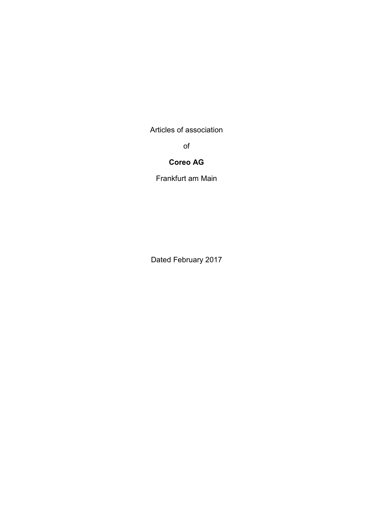Articles of association

of

# **Coreo AG**

Frankfurt am Main

Dated February 2017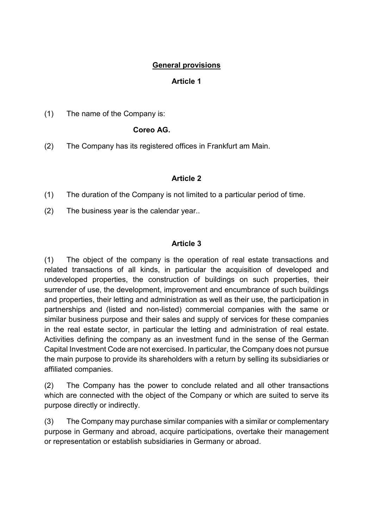## **General provisions**

### **Article 1**

(1) The name of the Company is:

### **Coreo AG.**

(2) The Company has its registered offices in Frankfurt am Main.

#### **Article 2**

(1) The duration of the Company is not limited to a particular period of time.

(2) The business year is the calendar year..

#### **Article 3**

(1) The object of the company is the operation of real estate transactions and related transactions of all kinds, in particular the acquisition of developed and undeveloped properties, the construction of buildings on such properties, their surrender of use, the development, improvement and encumbrance of such buildings and properties, their letting and administration as well as their use, the participation in partnerships and (listed and non-listed) commercial companies with the same or similar business purpose and their sales and supply of services for these companies in the real estate sector, in particular the letting and administration of real estate. Activities defining the company as an investment fund in the sense of the German Capital Investment Code are not exercised. In particular, the Company does not pursue the main purpose to provide its shareholders with a return by selling its subsidiaries or affiliated companies.

(2) The Company has the power to conclude related and all other transactions which are connected with the object of the Company or which are suited to serve its purpose directly or indirectly.

(3) The Company may purchase similar companies with a similar or complementary purpose in Germany and abroad, acquire participations, overtake their management or representation or establish subsidiaries in Germany or abroad.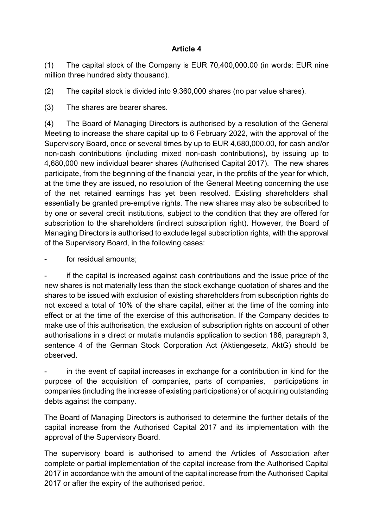(1) The capital stock of the Company is EUR 70,400,000.00 (in words: EUR nine million three hundred sixty thousand).

(2) The capital stock is divided into 9,360,000 shares (no par value shares).

(3) The shares are bearer shares.

(4) The Board of Managing Directors is authorised by a resolution of the General Meeting to increase the share capital up to 6 February 2022, with the approval of the Supervisory Board, once or several times by up to EUR 4,680,000.00, for cash and/or non-cash contributions (including mixed non-cash contributions), by issuing up to 4,680,000 new individual bearer shares (Authorised Capital 2017). The new shares participate, from the beginning of the financial year, in the profits of the year for which, at the time they are issued, no resolution of the General Meeting concerning the use of the net retained earnings has yet been resolved. Existing shareholders shall essentially be granted pre-emptive rights. The new shares may also be subscribed to by one or several credit institutions, subject to the condition that they are offered for subscription to the shareholders (indirect subscription right). However, the Board of Managing Directors is authorised to exclude legal subscription rights, with the approval of the Supervisory Board, in the following cases:

for residual amounts;

if the capital is increased against cash contributions and the issue price of the new shares is not materially less than the stock exchange quotation of shares and the shares to be issued with exclusion of existing shareholders from subscription rights do not exceed a total of 10% of the share capital, either at the time of the coming into effect or at the time of the exercise of this authorisation. If the Company decides to make use of this authorisation, the exclusion of subscription rights on account of other authorisations in a direct or mutatis mutandis application to section 186, paragraph 3, sentence 4 of the German Stock Corporation Act (Aktiengesetz, AktG) should be observed.

in the event of capital increases in exchange for a contribution in kind for the purpose of the acquisition of companies, parts of companies, participations in companies (including the increase of existing participations) or of acquiring outstanding debts against the company.

The Board of Managing Directors is authorised to determine the further details of the capital increase from the Authorised Capital 2017 and its implementation with the approval of the Supervisory Board.

The supervisory board is authorised to amend the Articles of Association after complete or partial implementation of the capital increase from the Authorised Capital 2017 in accordance with the amount of the capital increase from the Authorised Capital 2017 or after the expiry of the authorised period.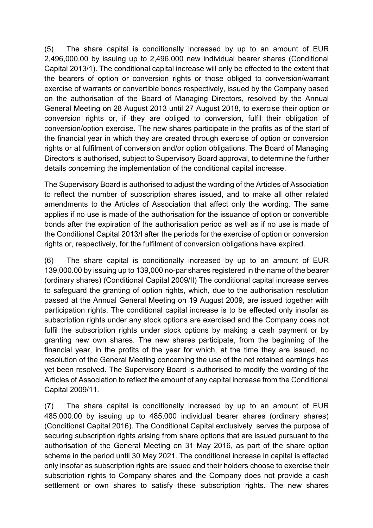(5) The share capital is conditionally increased by up to an amount of EUR 2,496,000.00 by issuing up to 2,496,000 new individual bearer shares (Conditional Capital 2013/1). The conditional capital increase will only be effected to the extent that the bearers of option or conversion rights or those obliged to conversion/warrant exercise of warrants or convertible bonds respectively, issued by the Company based on the authorisation of the Board of Managing Directors, resolved by the Annual General Meeting on 28 August 2013 until 27 August 2018, to exercise their option or conversion rights or, if they are obliged to conversion, fulfil their obligation of conversion/option exercise. The new shares participate in the profits as of the start of the financial year in which they are created through exercise of option or conversion rights or at fulfilment of conversion and/or option obligations. The Board of Managing Directors is authorised, subject to Supervisory Board approval, to determine the further details concerning the implementation of the conditional capital increase.

The Supervisory Board is authorised to adjust the wording of the Articles of Association to reflect the number of subscription shares issued, and to make all other related amendments to the Articles of Association that affect only the wording. The same applies if no use is made of the authorisation for the issuance of option or convertible bonds after the expiration of the authorisation period as well as if no use is made of the Conditional Capital 2013/I after the periods for the exercise of option or conversion rights or, respectively, for the fulfilment of conversion obligations have expired.

(6) The share capital is conditionally increased by up to an amount of EUR 139,000.00 by issuing up to 139,000 no-par shares registered in the name of the bearer (ordinary shares) (Conditional Capital 2009/II) The conditional capital increase serves to safeguard the granting of option rights, which, due to the authorisation resolution passed at the Annual General Meeting on 19 August 2009, are issued together with participation rights. The conditional capital increase is to be effected only insofar as subscription rights under any stock options are exercised and the Company does not fulfil the subscription rights under stock options by making a cash payment or by granting new own shares. The new shares participate, from the beginning of the financial year, in the profits of the year for which, at the time they are issued, no resolution of the General Meeting concerning the use of the net retained earnings has yet been resolved. The Supervisory Board is authorised to modify the wording of the Articles of Association to reflect the amount of any capital increase from the Conditional Capital 2009/11.

(7) The share capital is conditionally increased by up to an amount of EUR 485,000.00 by issuing up to 485,000 individual bearer shares (ordinary shares) (Conditional Capital 2016). The Conditional Capital exclusively serves the purpose of securing subscription rights arising from share options that are issued pursuant to the authorisation of the General Meeting on 31 May 2016, as part of the share option scheme in the period until 30 May 2021. The conditional increase in capital is effected only insofar as subscription rights are issued and their holders choose to exercise their subscription rights to Company shares and the Company does not provide a cash settlement or own shares to satisfy these subscription rights. The new shares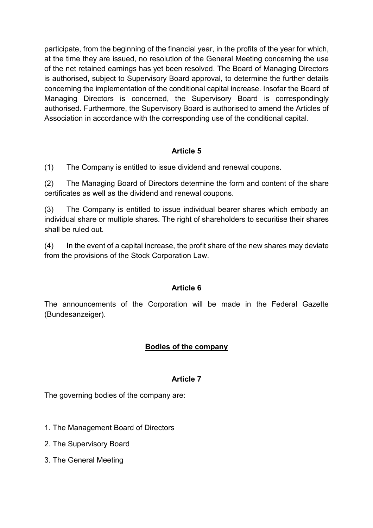participate, from the beginning of the financial year, in the profits of the year for which, at the time they are issued, no resolution of the General Meeting concerning the use of the net retained earnings has yet been resolved. The Board of Managing Directors is authorised, subject to Supervisory Board approval, to determine the further details concerning the implementation of the conditional capital increase. Insofar the Board of Managing Directors is concerned, the Supervisory Board is correspondingly authorised. Furthermore, the Supervisory Board is authorised to amend the Articles of Association in accordance with the corresponding use of the conditional capital.

## **Article 5**

(1) The Company is entitled to issue dividend and renewal coupons.

(2) The Managing Board of Directors determine the form and content of the share certificates as well as the dividend and renewal coupons.

(3) The Company is entitled to issue individual bearer shares which embody an individual share or multiple shares. The right of shareholders to securitise their shares shall be ruled out.

(4) In the event of a capital increase, the profit share of the new shares may deviate from the provisions of the Stock Corporation Law.

### **Article 6**

The announcements of the Corporation will be made in the Federal Gazette (Bundesanzeiger).

### **Bodies of the company**

#### **Article 7**

The governing bodies of the company are:

- 1. The Management Board of Directors
- 2. The Supervisory Board
- 3. The General Meeting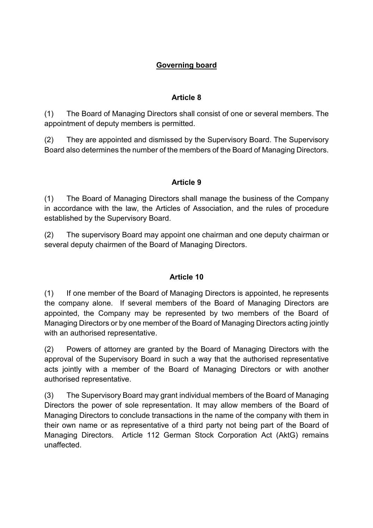# **Governing board**

### **Article 8**

(1) The Board of Managing Directors shall consist of one or several members. The appointment of deputy members is permitted.

(2) They are appointed and dismissed by the Supervisory Board. The Supervisory Board also determines the number of the members of the Board of Managing Directors.

## **Article 9**

(1) The Board of Managing Directors shall manage the business of the Company in accordance with the law, the Articles of Association, and the rules of procedure established by the Supervisory Board.

(2) The supervisory Board may appoint one chairman and one deputy chairman or several deputy chairmen of the Board of Managing Directors.

### **Article 10**

(1) If one member of the Board of Managing Directors is appointed, he represents the company alone. If several members of the Board of Managing Directors are appointed, the Company may be represented by two members of the Board of Managing Directors or by one member of the Board of Managing Directors acting jointly with an authorised representative.

(2) Powers of attorney are granted by the Board of Managing Directors with the approval of the Supervisory Board in such a way that the authorised representative acts jointly with a member of the Board of Managing Directors or with another authorised representative.

(3) The Supervisory Board may grant individual members of the Board of Managing Directors the power of sole representation. It may allow members of the Board of Managing Directors to conclude transactions in the name of the company with them in their own name or as representative of a third party not being part of the Board of Managing Directors. Article 112 German Stock Corporation Act (AktG) remains unaffected.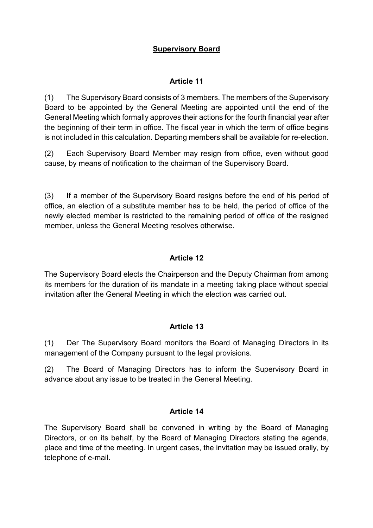## **Supervisory Board**

## **Article 11**

(1) The Supervisory Board consists of 3 members. The members of the Supervisory Board to be appointed by the General Meeting are appointed until the end of the General Meeting which formally approves their actions for the fourth financial year after the beginning of their term in office. The fiscal year in which the term of office begins is not included in this calculation. Departing members shall be available for re-election.

(2) Each Supervisory Board Member may resign from office, even without good cause, by means of notification to the chairman of the Supervisory Board.

(3) If a member of the Supervisory Board resigns before the end of his period of office, an election of a substitute member has to be held, the period of office of the newly elected member is restricted to the remaining period of office of the resigned member, unless the General Meeting resolves otherwise.

## **Article 12**

The Supervisory Board elects the Chairperson and the Deputy Chairman from among its members for the duration of its mandate in a meeting taking place without special invitation after the General Meeting in which the election was carried out.

### **Article 13**

(1) Der The Supervisory Board monitors the Board of Managing Directors in its management of the Company pursuant to the legal provisions.

(2) The Board of Managing Directors has to inform the Supervisory Board in advance about any issue to be treated in the General Meeting.

### **Article 14**

The Supervisory Board shall be convened in writing by the Board of Managing Directors, or on its behalf, by the Board of Managing Directors stating the agenda, place and time of the meeting. In urgent cases, the invitation may be issued orally, by telephone of e-mail.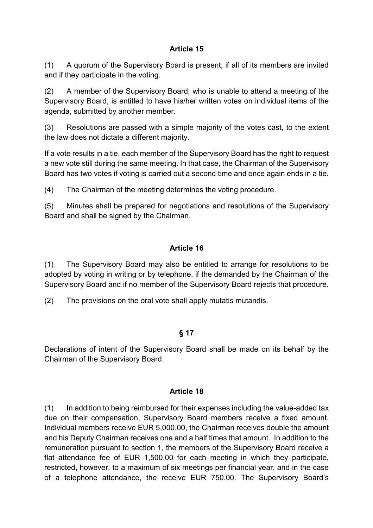(1) A quorum of the Supervisory Board is present, if all of its members are invited and if they participate in the voting.

(2) A member of the Supervisory Board, who is unable to attend a meeting of the Supervisory Board, is entitled to have his/her written votes on individual items of the agenda, submitted by another member.

(3) Resolutions are passed with a simple majority of the votes cast, to the extent the law does not dictate a different majority.

If a vote results in a tie, each member of the Supervisory Board has the right to request a new vote still during the same meeting. In that case, the Chairman of the Supervisory Board has two votes if voting is carried out a second time and once again ends in a tie.

(4) The Chairman of the meeting determines the voting procedure.

(5) Minutes shall be prepared for negotiations and resolutions of the Supervisory Board and shall be signed by the Chairman.

## **Article 16**

(1) The Supervisory Board may also be entitled to arrange for resolutions to be adopted by voting in writing or by telephone, if the demanded by the Chairman of the Supervisory Board and if no member of the Supervisory Board rejects that procedure.

(2) The provisions on the oral vote shall apply mutatis mutandis.

## **§ 17**

Declarations of intent of the Supervisory Board shall be made on its behalf by the Chairman of the Supervisory Board.

### **Article 18**

(1) In addition to being reimbursed for their expenses including the value-added tax due on their compensation, Supervisory Board members receive a fixed amount. Individual members receive EUR 5,000.00, the Chairman receives double the amount and his Deputy Chairman receives one and a half times that amount. In addition to the remuneration pursuant to section 1, the members of the Supervisory Board receive a flat attendance fee of EUR 1,500.00 for each meeting in which they participate, restricted, however, to a maximum of six meetings per financial year, and in the case of a telephone attendance, the receive EUR 750.00. The Supervisory Board's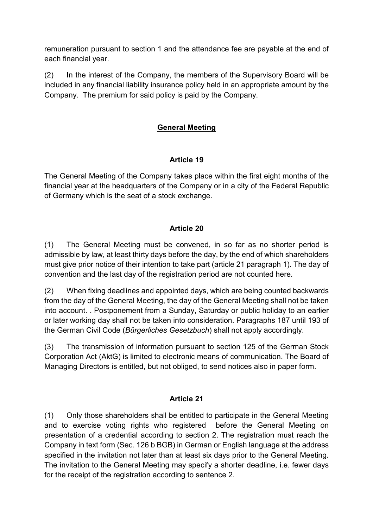remuneration pursuant to section 1 and the attendance fee are payable at the end of each financial year.

(2) In the interest of the Company, the members of the Supervisory Board will be included in any financial liability insurance policy held in an appropriate amount by the Company. The premium for said policy is paid by the Company.

## **General Meeting**

### **Article 19**

The General Meeting of the Company takes place within the first eight months of the financial year at the headquarters of the Company or in a city of the Federal Republic of Germany which is the seat of a stock exchange.

### **Article 20**

(1) The General Meeting must be convened, in so far as no shorter period is admissible by law, at least thirty days before the day, by the end of which shareholders must give prior notice of their intention to take part (article 21 paragraph 1). The day of convention and the last day of the registration period are not counted here.

(2) When fixing deadlines and appointed days, which are being counted backwards from the day of the General Meeting, the day of the General Meeting shall not be taken into account. . Postponement from a Sunday, Saturday or public holiday to an earlier or later working day shall not be taken into consideration. Paragraphs 187 until 193 of the German Civil Code (*Bürgerliches Gesetzbuch*) shall not apply accordingly.

(3) The transmission of information pursuant to section 125 of the German Stock Corporation Act (AktG) is limited to electronic means of communication. The Board of Managing Directors is entitled, but not obliged, to send notices also in paper form.

### **Article 21**

(1) Only those shareholders shall be entitled to participate in the General Meeting and to exercise voting rights who registered before the General Meeting on presentation of a credential according to section 2. The registration must reach the Company in text form (Sec. 126 b BGB) in German or English language at the address specified in the invitation not later than at least six days prior to the General Meeting. The invitation to the General Meeting may specify a shorter deadline, i.e. fewer days for the receipt of the registration according to sentence 2.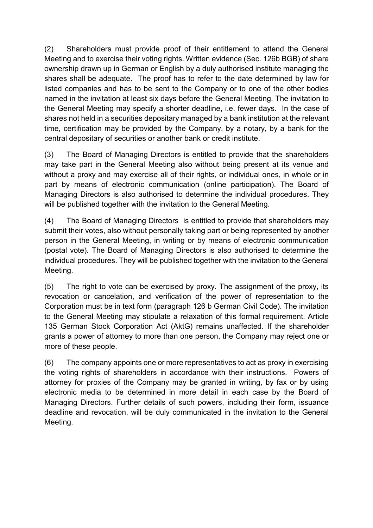(2) Shareholders must provide proof of their entitlement to attend the General Meeting and to exercise their voting rights. Written evidence (Sec. 126b BGB) of share ownership drawn up in German or English by a duly authorised institute managing the shares shall be adequate. The proof has to refer to the date determined by law for listed companies and has to be sent to the Company or to one of the other bodies named in the invitation at least six days before the General Meeting. The invitation to the General Meeting may specify a shorter deadline, i.e. fewer days. In the case of shares not held in a securities depositary managed by a bank institution at the relevant time, certification may be provided by the Company, by a notary, by a bank for the central depositary of securities or another bank or credit institute.

(3) The Board of Managing Directors is entitled to provide that the shareholders may take part in the General Meeting also without being present at its venue and without a proxy and may exercise all of their rights, or individual ones, in whole or in part by means of electronic communication (online participation). The Board of Managing Directors is also authorised to determine the individual procedures. They will be published together with the invitation to the General Meeting.

(4) The Board of Managing Directors is entitled to provide that shareholders may submit their votes, also without personally taking part or being represented by another person in the General Meeting, in writing or by means of electronic communication (postal vote). The Board of Managing Directors is also authorised to determine the individual procedures. They will be published together with the invitation to the General Meeting.

(5) The right to vote can be exercised by proxy. The assignment of the proxy, its revocation or cancelation, and verification of the power of representation to the Corporation must be in text form (paragraph 126 b German Civil Code). The invitation to the General Meeting may stipulate a relaxation of this formal requirement. Article 135 German Stock Corporation Act (AktG) remains unaffected. If the shareholder grants a power of attorney to more than one person, the Company may reject one or more of these people.

(6) The company appoints one or more representatives to act as proxy in exercising the voting rights of shareholders in accordance with their instructions. Powers of attorney for proxies of the Company may be granted in writing, by fax or by using electronic media to be determined in more detail in each case by the Board of Managing Directors. Further details of such powers, including their form, issuance deadline and revocation, will be duly communicated in the invitation to the General Meeting.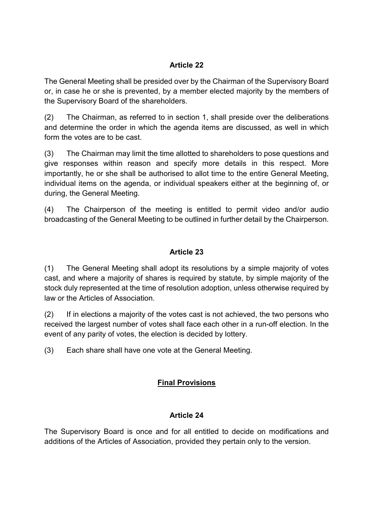The General Meeting shall be presided over by the Chairman of the Supervisory Board or, in case he or she is prevented, by a member elected majority by the members of the Supervisory Board of the shareholders.

(2) The Chairman, as referred to in section 1, shall preside over the deliberations and determine the order in which the agenda items are discussed, as well in which form the votes are to be cast.

(3) The Chairman may limit the time allotted to shareholders to pose questions and give responses within reason and specify more details in this respect. More importantly, he or she shall be authorised to allot time to the entire General Meeting, individual items on the agenda, or individual speakers either at the beginning of, or during, the General Meeting.

(4) The Chairperson of the meeting is entitled to permit video and/or audio broadcasting of the General Meeting to be outlined in further detail by the Chairperson.

## **Article 23**

(1) The General Meeting shall adopt its resolutions by a simple majority of votes cast, and where a majority of shares is required by statute, by simple majority of the stock duly represented at the time of resolution adoption, unless otherwise required by law or the Articles of Association.

(2) If in elections a majority of the votes cast is not achieved, the two persons who received the largest number of votes shall face each other in a run-off election. In the event of any parity of votes, the election is decided by lottery.

(3) Each share shall have one vote at the General Meeting.

## **Final Provisions**

### **Article 24**

The Supervisory Board is once and for all entitled to decide on modifications and additions of the Articles of Association, provided they pertain only to the version.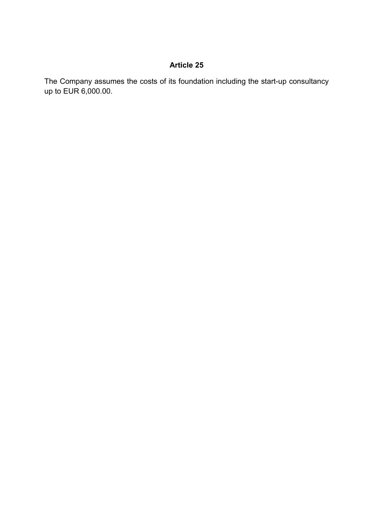The Company assumes the costs of its foundation including the start-up consultancy up to EUR 6,000.00.